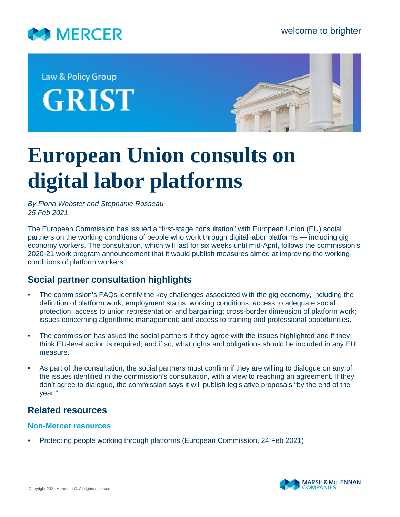

Law & Policy Group **GRIST** 



# **European Union consults on digital labor platforms**

*By Fiona Webster and Stephanie Rosseau 25 Feb 2021*

The European Commission has issued a "first-stage consultation" with European Union (EU) social partners on the working conditions of people who work through digital labor platforms — including gig economy workers. The consultation, which will last for six weeks until mid-April, follows the commission's 2020-21 work program announcement that it would publish measures aimed at improving the working conditions of platform workers.

## **Social partner consultation highlights**

- The commission's FAQs identify the key challenges associated with the gig economy, including the definition of platform work; employment status; working conditions; access to adequate social protection; access to union representation and bargaining; cross-border dimension of platform work; issues concerning algorithmic management; and access to training and professional opportunities.
- The commission has asked the social partners if they agree with the issues highlighted and if they think EU-level action is required; and if so, what rights and obligations should be included in any EU measure.
- As part of the consultation, the social partners must confirm if they are willing to dialogue on any of the issues identified in the commission's consultation, with a view to reaching an agreement. If they don't agree to dialogue, the commission says it will publish legislative proposals "by the end of the year."

## **Related resources**

#### **Non-Mercer resources**

• [Protecting people working through platforms](https://ec.europa.eu/commission/presscorner/detail/en/ip_21_686) (European Commission, 24 Feb 2021)